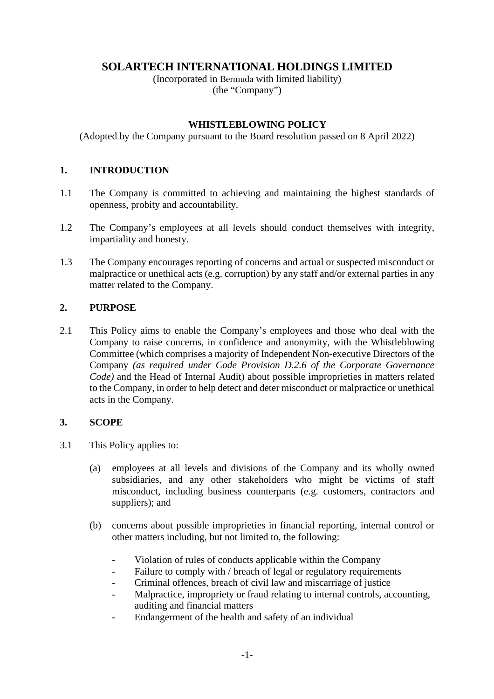# **SOLARTECH INTERNATIONAL HOLDINGS LIMITED**

(Incorporated in Bermuda with limited liability) (the "Company")

## **WHISTLEBLOWING POLICY**

(Adopted by the Company pursuant to the Board resolution passed on 8 April 2022)

## **1. INTRODUCTION**

- 1.1 The Company is committed to achieving and maintaining the highest standards of openness, probity and accountability.
- 1.2 The Company's employees at all levels should conduct themselves with integrity, impartiality and honesty.
- 1.3 The Company encourages reporting of concerns and actual or suspected misconduct or malpractice or unethical acts (e.g. corruption) by any staff and/or external parties in any matter related to the Company.

## **2. PURPOSE**

2.1 This Policy aims to enable the Company's employees and those who deal with the Company to raise concerns, in confidence and anonymity, with the Whistleblowing Committee (which comprises a majority of Independent Non-executive Directors of the Company *(as required under Code Provision D.2.6 of the Corporate Governance Code)* and the Head of Internal Audit) about possible improprieties in matters related to the Company, in order to help detect and deter misconduct or malpractice or unethical acts in the Company.

#### **3. SCOPE**

- 3.1 This Policy applies to:
	- (a) employees at all levels and divisions of the Company and its wholly owned subsidiaries, and any other stakeholders who might be victims of staff misconduct, including business counterparts (e.g. customers, contractors and suppliers); and
	- (b) concerns about possible improprieties in financial reporting, internal control or other matters including, but not limited to, the following:
		- Violation of rules of conducts applicable within the Company
		- Failure to comply with / breach of legal or regulatory requirements
		- Criminal offences, breach of civil law and miscarriage of justice
		- Malpractice, impropriety or fraud relating to internal controls, accounting, auditing and financial matters
		- Endangerment of the health and safety of an individual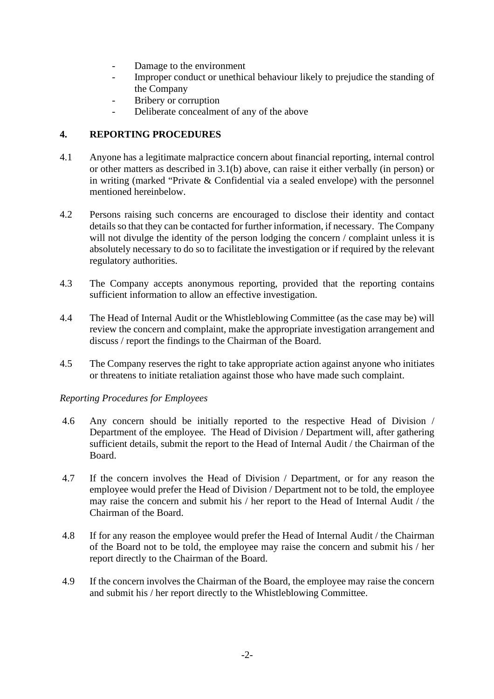- Damage to the environment
- Improper conduct or unethical behaviour likely to prejudice the standing of the Company
- Bribery or corruption
- Deliberate concealment of any of the above

## **4. REPORTING PROCEDURES**

- 4.1 Anyone has a legitimate malpractice concern about financial reporting, internal control or other matters as described in 3.1(b) above, can raise it either verbally (in person) or in writing (marked "Private & Confidential via a sealed envelope) with the personnel mentioned hereinbelow.
- 4.2 Persons raising such concerns are encouraged to disclose their identity and contact details so that they can be contacted for further information, if necessary. The Company will not divulge the identity of the person lodging the concern / complaint unless it is absolutely necessary to do so to facilitate the investigation or if required by the relevant regulatory authorities.
- 4.3 The Company accepts anonymous reporting, provided that the reporting contains sufficient information to allow an effective investigation.
- 4.4 The Head of Internal Audit or the Whistleblowing Committee (as the case may be) will review the concern and complaint, make the appropriate investigation arrangement and discuss / report the findings to the Chairman of the Board.
- 4.5 The Company reserves the right to take appropriate action against anyone who initiates or threatens to initiate retaliation against those who have made such complaint.

#### *Reporting Procedures for Employees*

- 4.6 Any concern should be initially reported to the respective Head of Division / Department of the employee. The Head of Division / Department will, after gathering sufficient details, submit the report to the Head of Internal Audit / the Chairman of the Board.
- 4.7 If the concern involves the Head of Division / Department, or for any reason the employee would prefer the Head of Division / Department not to be told, the employee may raise the concern and submit his / her report to the Head of Internal Audit / the Chairman of the Board.
- 4.8 If for any reason the employee would prefer the Head of Internal Audit / the Chairman of the Board not to be told, the employee may raise the concern and submit his / her report directly to the Chairman of the Board.
- 4.9 If the concern involves the Chairman of the Board, the employee may raise the concern and submit his / her report directly to the Whistleblowing Committee.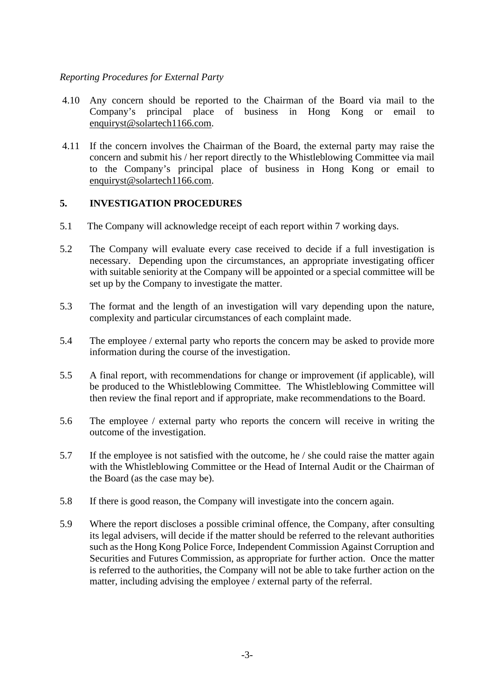## *Reporting Procedures for External Party*

- 4.10 Any concern should be reported to the Chairman of the Board via mail to the Company's principal place of business in Hong Kong or email to [enquiryst@solartech1166.com.](mailto:enquiryst@solartech1166.com)
- 4.11 If the concern involves the Chairman of the Board, the external party may raise the concern and submit his / her report directly to the Whistleblowing Committee via mail to the Company's principal place of business in Hong Kong or email to [enquiryst@solartech1166.com.](mailto:enquiryst@solartech1166.com)

## **5. INVESTIGATION PROCEDURES**

- 5.1 The Company will acknowledge receipt of each report within 7 working days.
- 5.2 The Company will evaluate every case received to decide if a full investigation is necessary. Depending upon the circumstances, an appropriate investigating officer with suitable seniority at the Company will be appointed or a special committee will be set up by the Company to investigate the matter.
- 5.3 The format and the length of an investigation will vary depending upon the nature, complexity and particular circumstances of each complaint made.
- 5.4 The employee / external party who reports the concern may be asked to provide more information during the course of the investigation.
- 5.5 A final report, with recommendations for change or improvement (if applicable), will be produced to the Whistleblowing Committee. The Whistleblowing Committee will then review the final report and if appropriate, make recommendations to the Board.
- 5.6 The employee / external party who reports the concern will receive in writing the outcome of the investigation.
- 5.7 If the employee is not satisfied with the outcome, he / she could raise the matter again with the Whistleblowing Committee or the Head of Internal Audit or the Chairman of the Board (as the case may be).
- 5.8 If there is good reason, the Company will investigate into the concern again.
- 5.9 Where the report discloses a possible criminal offence, the Company, after consulting its legal advisers, will decide if the matter should be referred to the relevant authorities such as the Hong Kong Police Force, Independent Commission Against Corruption and Securities and Futures Commission, as appropriate for further action. Once the matter is referred to the authorities, the Company will not be able to take further action on the matter, including advising the employee / external party of the referral.